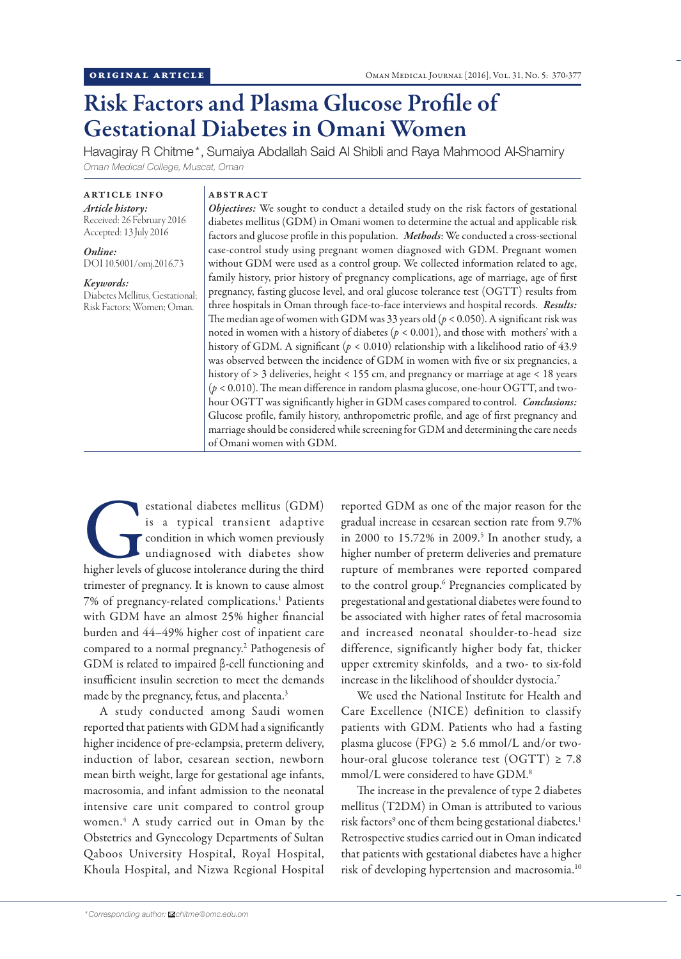# Risk Factors and Plasma Glucose Profile of Gestational Diabetes in Omani Women

Havagiray R Chitme\*, Sumaiya Abdallah Said Al Shibli and Raya Mahmood Al-Shamiry *Oman Medical College, Muscat, Oman*

### ARTICLE INFO

*Article history:* Received: 26 February 2016 Accepted: 13 July 2016

*Online:* DOI 10.5001/omj.2016.73

*Keywords:*  Diabetes Mellitus, Gestational; Risk Factors; Women; Oman.

## ABSTRACT

*Objectives:* We sought to conduct a detailed study on the risk factors of gestational diabetes mellitus (GDM) in Omani women to determine the actual and applicable risk factors and glucose profile in this population. *Methods*: We conducted a cross-sectional case-control study using pregnant women diagnosed with GDM. Pregnant women without GDM were used as a control group. We collected information related to age, family history, prior history of pregnancy complications, age of marriage, age of first pregnancy, fasting glucose level, and oral glucose tolerance test (OGTT) results from three hospitals in Oman through face-to-face interviews and hospital records. *Results:* The median age of women with GDM was 33 years old  $(p < 0.050)$ . A significant risk was noted in women with a history of diabetes  $(p < 0.001)$ , and those with mothers' with a history of GDM. A significant ( $p < 0.010$ ) relationship with a likelihood ratio of 43.9 was observed between the incidence of GDM in women with five or six pregnancies, a history of > 3 deliveries, height < 155 cm, and pregnancy or marriage at age < 18 years (*p* < 0.010). The mean difference in random plasma glucose, one-hour OGTT, and twohour OGTT was significantly higher in GDM cases compared to control. *Conclusions:* Glucose profile, family history, anthropometric profile, and age of first pregnancy and marriage should be considered while screening for GDM and determining the care needs of Omani women with GDM.

estational diabetes mellitus (GDM)<br>is a typical transient adaptive<br>condition in which women previously<br>undiagnosed with diabetes show<br>higher levels of glucose intolerance during the third is a typical transient adaptive condition in which women previously undiagnosed with diabetes show trimester of pregnancy. It is known to cause almost 7% of pregnancy-related complications.<sup>1</sup> Patients with GDM have an almost 25% higher financial burden and 44–49% higher cost of inpatient care compared to a normal pregnancy.2 Pathogenesis of GDM is related to impaired β-cell functioning and insufficient insulin secretion to meet the demands made by the pregnancy, fetus, and placenta.<sup>3</sup>

A study conducted among Saudi women reported that patients with GDM had a significantly higher incidence of pre-eclampsia, preterm delivery, induction of labor, cesarean section, newborn mean birth weight, large for gestational age infants, macrosomia, and infant admission to the neonatal intensive care unit compared to control group women.4 A study carried out in Oman by the Obstetrics and Gynecology Departments of Sultan Qaboos University Hospital, Royal Hospital, Khoula Hospital, and Nizwa Regional Hospital

reported GDM as one of the major reason for the gradual increase in cesarean section rate from 9.7% in 2000 to 15.72% in 2009.<sup>5</sup> In another study, a higher number of preterm deliveries and premature rupture of membranes were reported compared to the control group.6 Pregnancies complicated by pregestational and gestational diabetes were found to be associated with higher rates of fetal macrosomia and increased neonatal shoulder-to-head size difference, significantly higher body fat, thicker upper extremity skinfolds, and a two- to six-fold increase in the likelihood of shoulder dystocia.7

We used the National Institute for Health and Care Excellence (NICE) definition to classify patients with GDM. Patients who had a fasting plasma glucose (FPG)  $\geq$  5.6 mmol/L and/or twohour-oral glucose tolerance test  $(OGTT) \ge 7.8$ mmol/L were considered to have GDM.<sup>8</sup>

The increase in the prevalence of type 2 diabetes mellitus (T2DM) in Oman is attributed to various risk factors<sup>9</sup> one of them being gestational diabetes.<sup>1</sup> Retrospective studies carried out in Oman indicated that patients with gestational diabetes have a higher risk of developing hypertension and macrosomia.10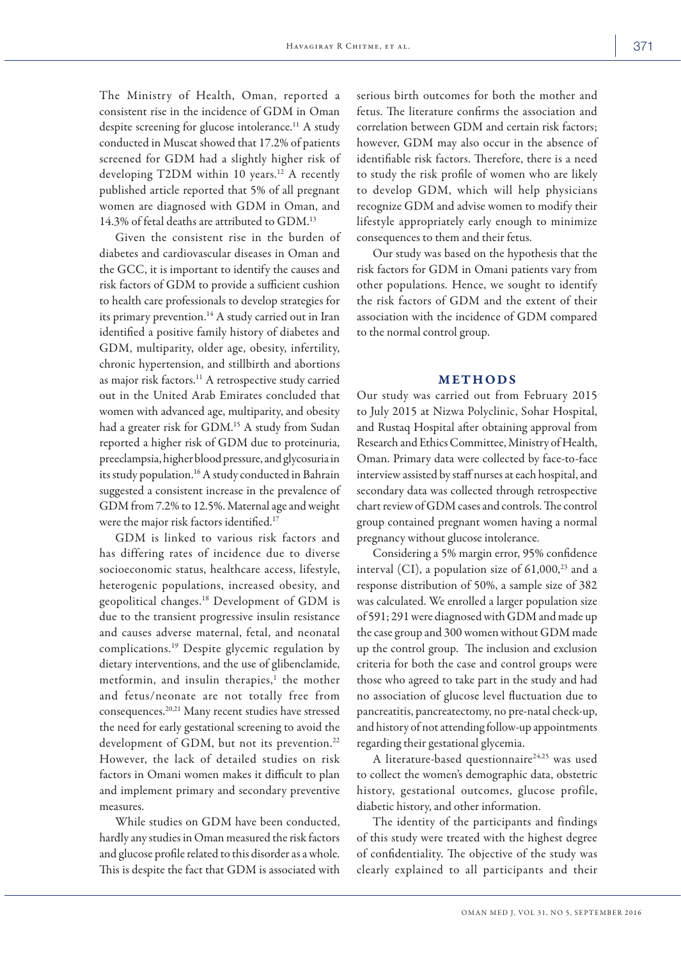The Ministry of Health, Oman, reported a consistent rise in the incidence of GDM in Oman despite screening for glucose intolerance.<sup>11</sup> A study conducted in Muscat showed that 17.2% of patients screened for GDM had a slightly higher risk of developing T2DM within 10 years.<sup>12</sup> A recently published article reported that 5% of all pregnant women are diagnosed with GDM in Oman, and 14.3% of fetal deaths are attributed to GDM.<sup>13</sup>

Given the consistent rise in the burden of diabetes and cardiovascular diseases in Oman and the GCC, it is important to identify the causes and risk factors of GDM to provide a sufficient cushion to health care professionals to develop strategies for its primary prevention.<sup>14</sup> A study carried out in Iran identified a positive family history of diabetes and GDM, multiparity, older age, obesity, infertility, chronic hypertension, and stillbirth and abortions as major risk factors.<sup>11</sup> A retrospective study carried out in the United Arab Emirates concluded that women with advanced age, multiparity, and obesity had a greater risk for GDM.<sup>15</sup> A study from Sudan reported a higher risk of GDM due to proteinuria, preeclampsia, higher blood pressure, and glycosuria in its study population.<sup>16</sup> A study conducted in Bahrain suggested a consistent increase in the prevalence of GDM from 7.2% to 12.5%. Maternal age and weight were the major risk factors identified.<sup>17</sup>

GDM is linked to various risk factors and has differing rates of incidence due to diverse socioeconomic status, healthcare access, lifestyle, heterogenic populations, increased obesity, and geopolitical changes.18 Development of GDM is due to the transient progressive insulin resistance and causes adverse maternal, fetal, and neonatal complications.19 Despite glycemic regulation by dietary interventions, and the use of glibenclamide, metformin, and insulin therapies,<sup>1</sup> the mother and fetus/neonate are not totally free from consequences.20,21 Many recent studies have stressed the need for early gestational screening to avoid the development of GDM, but not its prevention.<sup>22</sup> However, the lack of detailed studies on risk factors in Omani women makes it difficult to plan and implement primary and secondary preventive measures.

While studies on GDM have been conducted, hardly any studies in Oman measured the risk factors and glucose profile related to this disorder as a whole. This is despite the fact that GDM is associated with

serious birth outcomes for both the mother and fetus. The literature confirms the association and correlation between GDM and certain risk factors; however, GDM may also occur in the absence of identifiable risk factors. Therefore, there is a need to study the risk profile of women who are likely to develop GDM, which will help physicians recognize GDM and advise women to modify their lifestyle appropriately early enough to minimize consequences to them and their fetus.

Our study was based on the hypothesis that the risk factors for GDM in Omani patients vary from other populations. Hence, we sought to identify the risk factors of GDM and the extent of their association with the incidence of GDM compared to the normal control group.

#### METHODS

Our study was carried out from February 2015 to July 2015 at Nizwa Polyclinic, Sohar Hospital, and Rustaq Hospital after obtaining approval from Research and Ethics Committee, Ministry of Health, Oman. Primary data were collected by face-to-face interview assisted by staff nurses at each hospital, and secondary data was collected through retrospective chart review of GDM cases and controls. The control group contained pregnant women having a normal pregnancy without glucose intolerance.

Considering a 5% margin error, 95% confidence interval (CI), a population size of  $61,000$ <sup>23</sup> and a response distribution of 50%, a sample size of 382 was calculated. We enrolled a larger population size of 591; 291 were diagnosed with GDM and made up the case group and 300 women without GDM made up the control group. The inclusion and exclusion criteria for both the case and control groups were those who agreed to take part in the study and had no association of glucose level fluctuation due to pancreatitis, pancreatectomy, no pre-natal check-up, and history of not attending follow-up appointments regarding their gestational glycemia.

A literature-based questionnaire<sup>24,25</sup> was used to collect the women's demographic data, obstetric history, gestational outcomes, glucose profile, diabetic history, and other information.

The identity of the participants and findings of this study were treated with the highest degree of confidentiality. The objective of the study was clearly explained to all participants and their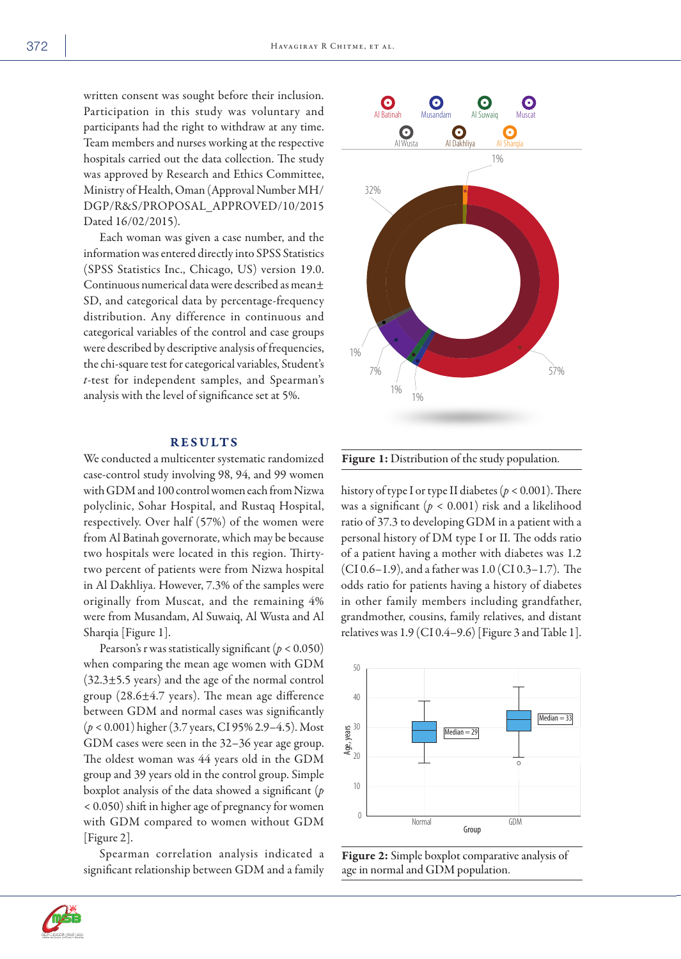written consent was sought before their inclusion. Participation in this study was voluntary and participants had the right to withdraw at any time. Team members and nurses working at the respective hospitals carried out the data collection. The study was approved by Research and Ethics Committee, Ministry of Health, Oman (Approval Number MH/ DGP/R&S/PROPOSAL \_APPROVED/10/2015 Dated 16/02/2015).

Each woman was given a case number, and the information was entered directly into SPSS Statistics (SPSS Statistics Inc., Chicago, US) version 19.0. Continuous numerical data were described as mean± SD, and categorical data by percentage-frequency distribution. Any difference in continuous and categorical variables of the control and case groups were described by descriptive analysis of frequencies, the chi-square test for categorical variables, Student's *t*-test for independent samples, and Spearman's analysis with the level of significance set at 5%.

# RESULTS

We conducted a multicenter systematic randomized case-control study involving 98, 94, and 99 women with GDM and 100 control women each from Nizwa polyclinic, Sohar Hospital, and Rustaq Hospital, respectively. Over half (57%) of the women were from Al Batinah governorate, which may be because two hospitals were located in this region. Thirtytwo percent of patients were from Nizwa hospital in Al Dakhliya. However, 7.3% of the samples were originally from Muscat, and the remaining 4% were from Musandam, Al Suwaiq, Al Wusta and Al Sharqia [Figure 1].

Pearson's r was statistically significant ( $p < 0.050$ ) when comparing the mean age women with GDM  $(32.3\pm5.5 \text{ years})$  and the age of the normal control group  $(28.6 \pm 4.7 \text{ years})$ . The mean age difference between GDM and normal cases was significantly (*p* < 0.001) higher (3.7 years, CI 95% 2.9–4.5). Most GDM cases were seen in the 32–36 year age group. The oldest woman was 44 years old in the GDM group and 39 years old in the control group. Simple boxplot analysis of the data showed a significant (*p* < 0.050) shift in higher age of pregnancy for women with GDM compared to women without GDM [Figure 2].

Spearman correlation analysis indicated a significant relationship between GDM and a family



Figure 1: Distribution of the study population.

history of type I or type II diabetes (*p* < 0.001). There was a significant (*p* < 0.001) risk and a likelihood ratio of 37.3 to developing GDM in a patient with a personal history of DM type I or II. The odds ratio of a patient having a mother with diabetes was 1.2 (CI 0.6–1.9), and a father was 1.0 (CI 0.3–1.7). The odds ratio for patients having a history of diabetes in other family members including grandfather, grandmother, cousins, family relatives, and distant relatives was 1.9 (CI 0.4–9.6) [Figure 3 and Table 1].





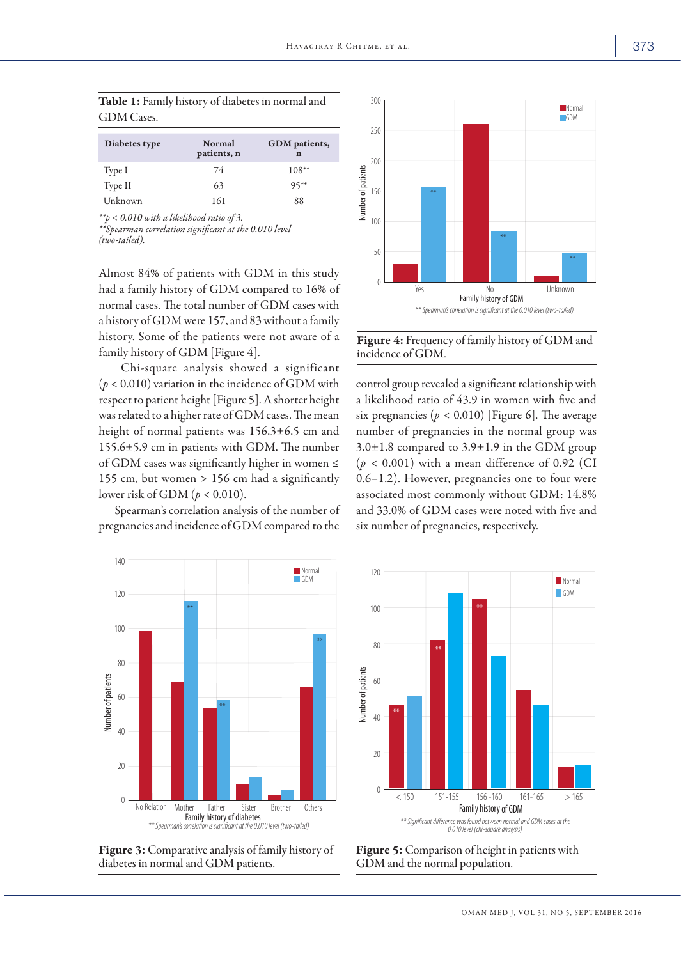| Diabetes type | Normal<br>patients, n | GDM patients,<br>n |
|---------------|-----------------------|--------------------|
| Type I        | 74                    | $108**$            |
| Type II       | 63                    | $95***$            |
| Unknown       | 161                   | 88                 |

GDM Cases.

Table 1: Family history of diabetes in normal and

*\*\*p < 0.010 with a likelihood ratio of 3.*

*\*\*Spearman correlation significant at the 0.010 level (two-tailed).*

Almost 84% of patients with GDM in this study had a family history of GDM compared to 16% of normal cases. The total number of GDM cases with a history of GDM were 157, and 83 without a family history. Some of the patients were not aware of a family history of GDM [Figure 4].

 Chi-square analysis showed a significant  $(p < 0.010)$  variation in the incidence of GDM with respect to patient height [Figure 5]. A shorter height was related to a higher rate of GDM cases. The mean height of normal patients was 156.3±6.5 cm and 155.6±5.9 cm in patients with GDM. The number of GDM cases was significantly higher in women ≤ 155 cm, but women > 156 cm had a significantly lower risk of GDM (*p* < 0.010).

Spearman's correlation analysis of the number of pregnancies and incidence of GDM compared to the



Figure 4: Frequency of family history of GDM and incidence of GDM.

control group revealed a significant relationship with a likelihood ratio of 43.9 in women with five and six pregnancies ( $p < 0.010$ ) [Figure 6]. The average number of pregnancies in the normal group was  $3.0\pm1.8$  compared to  $3.9\pm1.9$  in the GDM group  $(p < 0.001)$  with a mean difference of 0.92 (CI 0.6–1.2). However, pregnancies one to four were associated most commonly without GDM: 14.8% and 33.0% of GDM cases were noted with five and







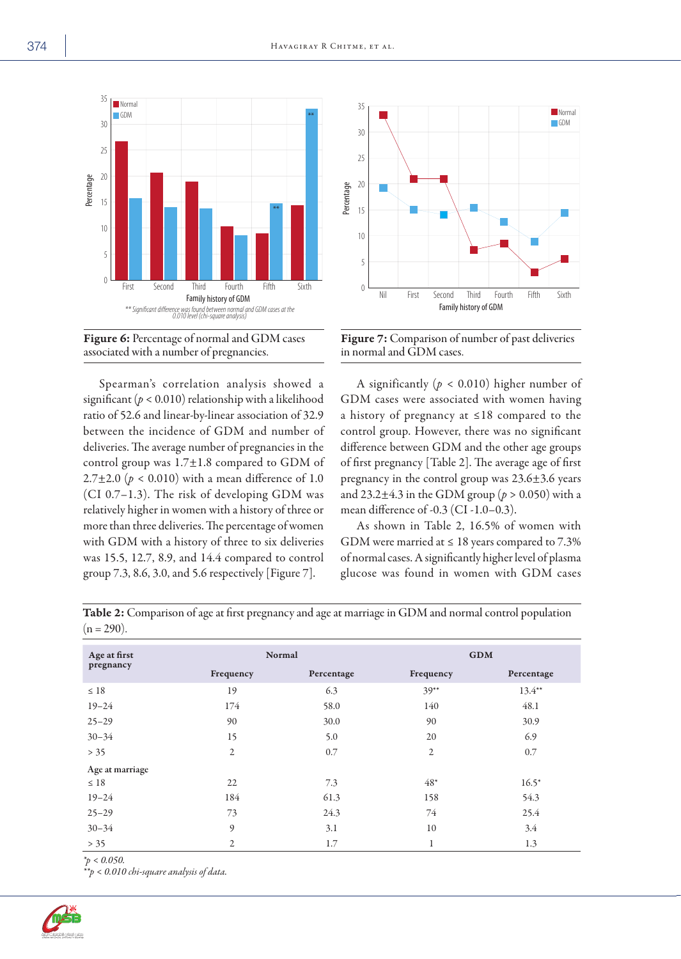





Figure 7: Comparison of number of past deliveries in normal and GDM cases.

| 10<br>5<br>$\theta$<br>First<br>Second<br>associated with a number of pregnancies.               | Fifth<br>Third<br>Fourth<br>Family history of GDM<br>** Significant difference was found between normal and GDM cases at the 0.010 level (chi-square analysis)<br>Figure 6: Percentage of normal and GDM cases<br>Spearman's correlation analysis showed a<br>significant ( $p < 0.010$ ) relationship with a likelihood<br>ratio of 52.6 and linear-by-linear association of 32.9<br>between the incidence of GDM and number of<br>deliveries. The average number of pregnancies in the<br>control group was 1.7±1.8 compared to GDM of<br>2.7±2.0 ( $p < 0.010$ ) with a mean difference of 1.0<br>(CI 0.7-1.3). The risk of developing GDM was<br>relatively higher in women with a history of three or | Percentage<br>15<br>10<br>5<br>Sixth<br>0                                                              | Nil<br>First<br>Third<br>Second<br>Family history of GDM<br>in normal and GDM cases.<br>mean difference of -0.3 (CI -1.0-0.3). | Fifth<br>Sixth<br>Fourth<br>Figure 7: Comparison of number of past deliveries<br>A significantly ( $p < 0.010$ ) higher number of<br>GDM cases were associated with women having<br>a history of pregnancy at ≤18 compared to the<br>control group. However, there was no significant<br>difference between GDM and the other age groups<br>of first pregnancy [Table 2]. The average age of first<br>pregnancy in the control group was 23.6±3.6 years<br>and 23.2 $\pm$ 4.3 in the GDM group ( $p > 0.050$ ) with a |
|--------------------------------------------------------------------------------------------------|------------------------------------------------------------------------------------------------------------------------------------------------------------------------------------------------------------------------------------------------------------------------------------------------------------------------------------------------------------------------------------------------------------------------------------------------------------------------------------------------------------------------------------------------------------------------------------------------------------------------------------------------------------------------------------------------------------|--------------------------------------------------------------------------------------------------------|--------------------------------------------------------------------------------------------------------------------------------|-----------------------------------------------------------------------------------------------------------------------------------------------------------------------------------------------------------------------------------------------------------------------------------------------------------------------------------------------------------------------------------------------------------------------------------------------------------------------------------------------------------------------|
|                                                                                                  | more than three deliveries. The percentage of women                                                                                                                                                                                                                                                                                                                                                                                                                                                                                                                                                                                                                                                        |                                                                                                        |                                                                                                                                | As shown in Table 2, 16.5% of women with                                                                                                                                                                                                                                                                                                                                                                                                                                                                              |
|                                                                                                  | was 15.5, 12.7, 8.9, and 14.4 compared to control<br>group 7.3, 8.6, 3.0, and 5.6 respectively [Figure 7].                                                                                                                                                                                                                                                                                                                                                                                                                                                                                                                                                                                                 | Table 2: Comparison of age at first pregnancy and age at marriage in GDM and normal control population | GDM were married at $\leq 18$ years compared to 7.3%                                                                           | of normal cases. A significantly higher level of plasma<br>glucose was found in women with GDM cases                                                                                                                                                                                                                                                                                                                                                                                                                  |
|                                                                                                  |                                                                                                                                                                                                                                                                                                                                                                                                                                                                                                                                                                                                                                                                                                            |                                                                                                        |                                                                                                                                |                                                                                                                                                                                                                                                                                                                                                                                                                                                                                                                       |
| with GDM with a history of three to six deliveries<br>$(n = 290)$ .<br>Age at first<br>pregnancy | Frequency                                                                                                                                                                                                                                                                                                                                                                                                                                                                                                                                                                                                                                                                                                  | Normal<br>Percentage                                                                                   | Frequency                                                                                                                      | <b>GDM</b><br>Percentage                                                                                                                                                                                                                                                                                                                                                                                                                                                                                              |
| $\leq 18$                                                                                        | 19                                                                                                                                                                                                                                                                                                                                                                                                                                                                                                                                                                                                                                                                                                         | 6.3                                                                                                    | $39**$                                                                                                                         | $13.4**$                                                                                                                                                                                                                                                                                                                                                                                                                                                                                                              |
| $19 - 24$                                                                                        | $174\,$                                                                                                                                                                                                                                                                                                                                                                                                                                                                                                                                                                                                                                                                                                    | 58.0                                                                                                   | 140                                                                                                                            | 48.1                                                                                                                                                                                                                                                                                                                                                                                                                                                                                                                  |
| $25 - 29$                                                                                        | 90                                                                                                                                                                                                                                                                                                                                                                                                                                                                                                                                                                                                                                                                                                         | 30.0                                                                                                   | 90                                                                                                                             | 30.9                                                                                                                                                                                                                                                                                                                                                                                                                                                                                                                  |
| $30 - 34$                                                                                        | 15                                                                                                                                                                                                                                                                                                                                                                                                                                                                                                                                                                                                                                                                                                         | 5.0                                                                                                    | 20                                                                                                                             | 6.9                                                                                                                                                                                                                                                                                                                                                                                                                                                                                                                   |
| > 35                                                                                             | $\sqrt{2}$                                                                                                                                                                                                                                                                                                                                                                                                                                                                                                                                                                                                                                                                                                 | 0.7                                                                                                    | 2                                                                                                                              | 0.7                                                                                                                                                                                                                                                                                                                                                                                                                                                                                                                   |
| Age at marriage                                                                                  |                                                                                                                                                                                                                                                                                                                                                                                                                                                                                                                                                                                                                                                                                                            |                                                                                                        |                                                                                                                                |                                                                                                                                                                                                                                                                                                                                                                                                                                                                                                                       |
| $\leq 18$                                                                                        | 22                                                                                                                                                                                                                                                                                                                                                                                                                                                                                                                                                                                                                                                                                                         | 7.3                                                                                                    | $48*$                                                                                                                          | $16.5*$                                                                                                                                                                                                                                                                                                                                                                                                                                                                                                               |
| $19 - 24$                                                                                        | 184                                                                                                                                                                                                                                                                                                                                                                                                                                                                                                                                                                                                                                                                                                        | 61.3                                                                                                   | 158                                                                                                                            | 54.3                                                                                                                                                                                                                                                                                                                                                                                                                                                                                                                  |
| $25 - 29$                                                                                        | 73                                                                                                                                                                                                                                                                                                                                                                                                                                                                                                                                                                                                                                                                                                         | 24.3                                                                                                   | 74                                                                                                                             | 25.4                                                                                                                                                                                                                                                                                                                                                                                                                                                                                                                  |
| $30 - 34$                                                                                        | 9                                                                                                                                                                                                                                                                                                                                                                                                                                                                                                                                                                                                                                                                                                          | 3.1                                                                                                    | 10                                                                                                                             | 3.4                                                                                                                                                                                                                                                                                                                                                                                                                                                                                                                   |

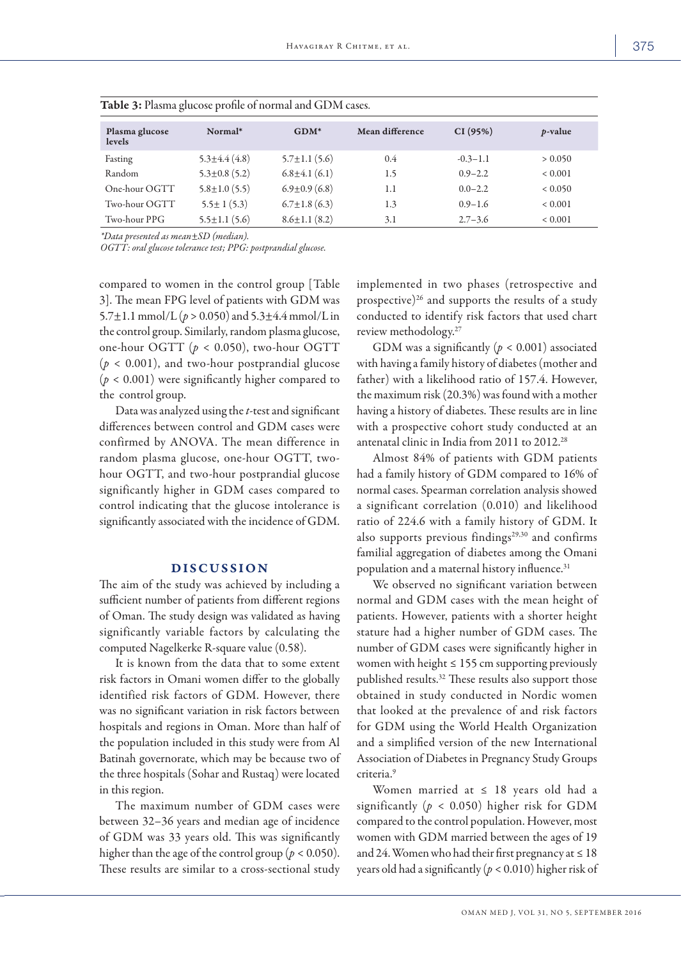| Plasma glucose<br>levels | Normal*             | $GDM*$              | Mean difference | CI(95%)      | <i>p</i> -value |  |  |
|--------------------------|---------------------|---------------------|-----------------|--------------|-----------------|--|--|
| Fasting                  | $5.3 \pm 4.4(4.8)$  | $5.7 \pm 1.1$ (5.6) | 0.4             | $-0.3 - 1.1$ | > 0.050         |  |  |
| Random                   | $5.3 \pm 0.8$ (5.2) | $6.8 \pm 4.1$ (6.1) | 1.5             | $0.9 - 2.2$  | ${}< 0.001$     |  |  |
| One-hour OGTT            | $5.8 \pm 1.0$ (5.5) | $6.9 \pm 0.9$ (6.8) | 1.1             | $0.0 - 2.2$  | < 0.050         |  |  |
| Two-hour OGTT            | $5.5 \pm 1(5.3)$    | $6.7 \pm 1.8$ (6.3) | 1.3             | $0.9 - 1.6$  | ${}< 0.001$     |  |  |
| Two-hour PPG             | $5.5 \pm 1.1(5.6)$  | $8.6 \pm 1.1$ (8.2) | 3.1             | $2.7 - 3.6$  | ${}< 0.001$     |  |  |

Table 3: Plasma glucose profile of normal and GDM cases.

*\*Data presented as mean±SD (median).*

*OGTT: oral glucose tolerance test; PPG: postprandial glucose.*

compared to women in the control group [Table 3]. The mean FPG level of patients with GDM was 5.7 $\pm$ 1.1 mmol/L ( $p > 0.050$ ) and 5.3 $\pm$ 4.4 mmol/L in the control group. Similarly, random plasma glucose, one-hour OGTT (*p* < 0.050), two-hour OGTT (*p* < 0.001), and two-hour postprandial glucose (*p* < 0.001) were significantly higher compared to the control group.

Data was analyzed using the *t*-test and significant differences between control and GDM cases were confirmed by ANOVA. The mean difference in random plasma glucose, one-hour OGTT, twohour OGTT, and two-hour postprandial glucose significantly higher in GDM cases compared to control indicating that the glucose intolerance is significantly associated with the incidence of GDM.

#### DISCUSSION

The aim of the study was achieved by including a sufficient number of patients from different regions of Oman. The study design was validated as having significantly variable factors by calculating the computed Nagelkerke R-square value (0.58).

It is known from the data that to some extent risk factors in Omani women differ to the globally identified risk factors of GDM. However, there was no significant variation in risk factors between hospitals and regions in Oman. More than half of the population included in this study were from Al Batinah governorate, which may be because two of the three hospitals (Sohar and Rustaq) were located in this region.

The maximum number of GDM cases were between 32–36 years and median age of incidence of GDM was 33 years old. This was significantly higher than the age of the control group ( $p < 0.050$ ). These results are similar to a cross-sectional study implemented in two phases (retrospective and prospective)<sup>26</sup> and supports the results of a study conducted to identify risk factors that used chart review methodology.27

GDM was a significantly  $(p < 0.001)$  associated with having a family history of diabetes (mother and father) with a likelihood ratio of 157.4. However, the maximum risk (20.3%) was found with a mother having a history of diabetes. These results are in line with a prospective cohort study conducted at an antenatal clinic in India from 2011 to 2012.28

Almost 84% of patients with GDM patients had a family history of GDM compared to 16% of normal cases. Spearman correlation analysis showed a significant correlation (0.010) and likelihood ratio of 224.6 with a family history of GDM. It also supports previous findings $29,30$  and confirms familial aggregation of diabetes among the Omani population and a maternal history influence.<sup>31</sup>

We observed no significant variation between normal and GDM cases with the mean height of patients. However, patients with a shorter height stature had a higher number of GDM cases. The number of GDM cases were significantly higher in women with height  $\leq 155$  cm supporting previously published results.32 These results also support those obtained in study conducted in Nordic women that looked at the prevalence of and risk factors for GDM using the World Health Organization and a simplified version of the new International Association of Diabetes in Pregnancy Study Groups criteria.9

Women married at ≤ 18 years old had a significantly (*p* < 0.050) higher risk for GDM compared to the control population. However, most women with GDM married between the ages of 19 and 24. Women who had their first pregnancy at  $\leq 18$ years old had a significantly (*p* < 0.010) higher risk of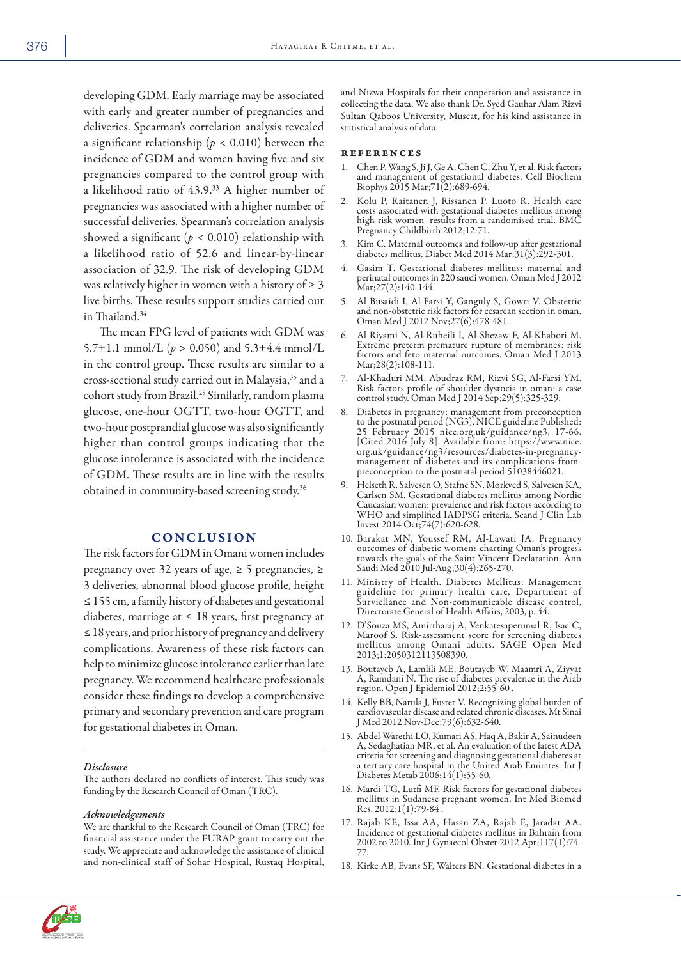developing GDM. Early marriage may be associated with early and greater number of pregnancies and deliveries. Spearman's correlation analysis revealed a significant relationship ( $p < 0.010$ ) between the incidence of GDM and women having five and six pregnancies compared to the control group with a likelihood ratio of 43.9.33 A higher number of pregnancies was associated with a higher number of successful deliveries. Spearman's correlation analysis showed a significant  $(p < 0.010)$  relationship with a likelihood ratio of 52.6 and linear-by-linear association of 32.9. The risk of developing GDM was relatively higher in women with a history of  $\geq 3$ live births. These results support studies carried out in Thailand.34

The mean FPG level of patients with GDM was 5.7 $\pm$ 1.1 mmol/L ( $p > 0.050$ ) and 5.3 $\pm$ 4.4 mmol/L in the control group. These results are similar to a cross-sectional study carried out in Malaysia,35 and a cohort study from Brazil.28 Similarly, random plasma glucose, one-hour OGTT, two-hour OGTT, and two-hour postprandial glucose was also significantly higher than control groups indicating that the glucose intolerance is associated with the incidence of GDM. These results are in line with the results obtained in community-based screening study.36

## **CONCLUSION**

The risk factors for GDM in Omani women includes pregnancy over 32 years of age,  $\geq$  5 pregnancies,  $\geq$ 3 deliveries, abnormal blood glucose profile, height ≤ 155 cm, a family history of diabetes and gestational diabetes, marriage at  $\leq 18$  years, first pregnancy at ≤ 18 years, and prior history of pregnancy and delivery complications. Awareness of these risk factors can help to minimize glucose intolerance earlier than late pregnancy. We recommend healthcare professionals consider these findings to develop a comprehensive primary and secondary prevention and care program for gestational diabetes in Oman.

#### *Disclosure*

The authors declared no conflicts of interest. This study was funding by the Research Council of Oman (TRC).

#### *Acknowledgements*

We are thankful to the Research Council of Oman (TRC) for financial assistance under the FURAP grant to carry out the study. We appreciate and acknowledge the assistance of clinical and non-clinical staff of Sohar Hospital, Rustaq Hospital, and Nizwa Hospitals for their cooperation and assistance in collecting the data. We also thank Dr. Syed Gauhar Alam Rizvi Sultan Qaboos University, Muscat, for his kind assistance in statistical analysis of data.

#### references

- 1. Chen P, Wang S, Ji J, Ge A, Chen C, Zhu Y, et al. Risk factors and management of gestational diabetes. Cell Biochem Biophys 2015 Mar;71(2):689-694.
- 2. Kolu P, Raitanen J, Rissanen P, Luoto R. Health care costs associated with gestational diabetes mellitus among high-risk women–results from a randomised trial. BMC Pregnancy Childbirth 2012;12:71.
- 3. Kim C. Maternal outcomes and follow-up after gestational diabetes mellitus. Diabet Med 2014 Mar;31(3):292-301.
- 4. Gasim T. Gestational diabetes mellitus: maternal and perinatal outcomes in 220 saudi women. Oman Med J 2012 Mar;27(2):140-144.
- 5. Al Busaidi I, Al-Farsi Y, Ganguly S, Gowri V. Obstetric and non-obstetric risk factors for cesarean section in oman. Oman Med J 2012 Nov;27(6):478-481.
- 6. Al Riyami N, Al-Ruheili I, Al-Shezaw F, Al-Khabori M. Extreme preterm premature rupture of membranes: risk factors and feto maternal outcomes. Oman Med J 2013 Mar;28(2):108-111.
- 7. Al-Khaduri MM, Abudraz RM, Rizvi SG, Al-Farsi YM. Risk factors profile of shoulder dystocia in oman: a case control study. Oman Med J 2014 Sep;29(5):325-329.
- 8. Diabetes in pregnancy: management from preconception to the postnatal period (NG3), NICE guideline Published: 25 February 2015 nice.org.uk/guidance/ng3, 17-66. [Cited 2016 July 8]. Available from: https://www.nice. org.uk/guidance/ng3/resources/diabetes-in-pregnancymanagement-of-diabetes-and-its-complications-frompreconception-to-the-postnatal-period-51038446021.
- 9. Helseth R, Salvesen O, Stafne SN, Mørkved S, Salvesen KA, Carlsen SM. Gestational diabetes mellitus among Nordic Caucasian women: prevalence and risk factors according to WHO and simplified IADPSG criteria. Scand J Clin Lab Invest 2014 Oct;74(7):620-628.
- 10. Barakat MN, Youssef RM , Al-Lawati JA. Pregnancy outcomes of diabetic women: charting Oman's progress towards the goals of the Saint Vincent Declaration. Ann Saudi Med 2010 Jul-Aug;30(4):265-270.
- 11. Ministry of Health. Diabetes Mellitus: Management guideline for primary health care, Department of Surviellance and Non-communicable disease control, Directorate General of Health Affairs, 2003, p. 44.
- 12. D'Souza MS, Amirtharaj A, Venkatesaperumal R, Isac C, Maroof S. Risk-assessment score for screening diabetes mellitus among Omani adults. SA GE Open Med 2013;1:2050312113508390.
- 13. Boutayeb A, Lamlili ME, Boutayeb W, Maamri A, Ziyyat A, Ramdani N. The rise of diabetes prevalence in the Arab region. Open J Epidemiol 2012;2:55-60 .
- 14. Kelly BB, Narula J, Fuster V. Recognizing global burden of cardiovascular disease and related chronic diseases. Mt Sinai J Med 2012 Nov-Dec;79(6):632-640.
- 15. Abdel-Warethi LO, Kumari AS, Haq A, Bakir A, Sainudeen A, Sedaghatian MR, et al. An evaluation of the latest A criteria for screening and diagnosing gestational diabetes at a tertiary care hospital in the United Arab Emirates. Int J Diabetes Metab 2006;14(1):55-60.
- 16. Mardi TG, Lutfi MF. Risk factors for gestational diabetes mellitus in Sudanese pregnant women. Int Med Biomed Res. 2012;1(1):79-84 .
- 17. Rajab KE, Issa AA, Hasan ZA, Rajab E, Jaradat AA.<br>Incidence of gestational diabetes mellitus in Bahrain from 2002 to 2010. Int J Gynaecol Obstet 2012 Apr;117(1):74- 77.
- 18. Kirke AB, Evans SF, Walters BN. Gestational diabetes in a